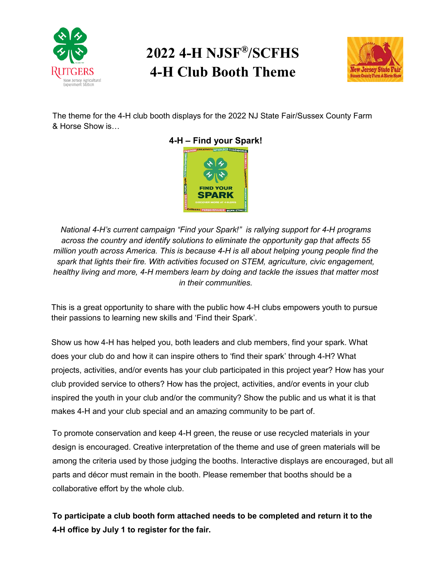

## **2022 4-H NJSF®/SCFHS 4-H Club Booth Theme**



The theme for the 4-H club booth displays for the 2022 NJ State Fair/Sussex County Farm & Horse Show is…



*National 4-H's current campaign "Find your Spark!" is rallying support for 4-H programs across the country and identify solutions to eliminate the opportunity gap that affects 55 million youth across America. This is because 4-H is all about helping young people find the spark that lights their fire. With activities focused on STEM, agriculture, civic engagement, healthy living and more, 4-H members learn by doing and tackle the issues that matter most in their communities.*

This is a great opportunity to share with the public how 4-H clubs empowers youth to pursue their passions to learning new skills and 'Find their Spark'.

Show us how 4-H has helped you, both leaders and club members, find your spark. What does your club do and how it can inspire others to 'find their spark' through 4-H? What projects, activities, and/or events has your club participated in this project year? How has your club provided service to others? How has the project, activities, and/or events in your club inspired the youth in your club and/or the community? Show the public and us what it is that makes 4-H and your club special and an amazing community to be part of.

To promote conservation and keep 4-H green, the reuse or use recycled materials in your design is encouraged. Creative interpretation of the theme and use of green materials will be among the criteria used by those judging the booths. Interactive displays are encouraged, but all parts and décor must remain in the booth. Please remember that booths should be a collaborative effort by the whole club.

**To participate a [club booth form a](https://nj.4honline.com/FileServices/Fetch/1838e81e-1434-e711-80d9-a0369f4c4cb3/View)ttached needs to be completed and return it to the 4-H office by July 1 to register for the fair.**